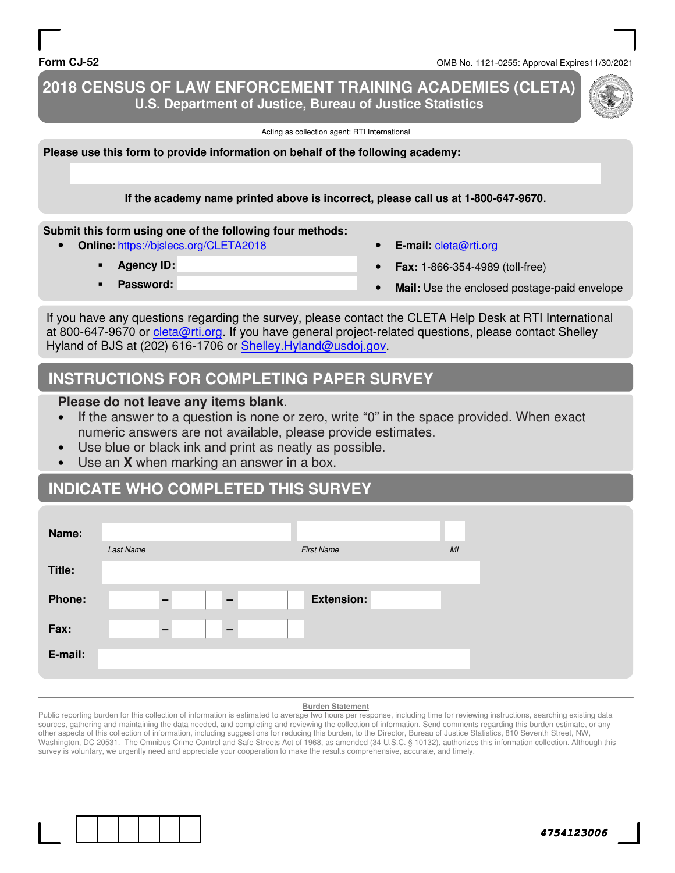**Form CJ-52 COMB No. 1121-0255: Approval Expires11/30/2021** 

### **2018 CENSUS OF LAW ENFORCEMENT TRAINING ACADEMIES (CLETA) U.S. Department of Justice, Bureau of Justice Statistics**



Acting as collection agent: RTI International

**Please use this form to provide information on behalf of the following academy:** 

**If the academy name printed above is incorrect, please call us at 1-800-647-9670**.

#### **Submit this form using one of the following four methods:**

- **Online:** https://bjslecs.org/CLETA2018
	- **Agency ID:**
	- **Password:**
- **E-mail:** cleta@rti.org
- **Fax:** 1-866-354-4989 (toll-free)
- **Mail:** Use the enclosed postage-paid envelope

If you have any questions regarding the survey, please contact the CLETA Help Desk at RTI International at 800-647-9670 or cleta@rti.org. If you have general project-related questions, please contact Shelley Hyland of BJS at (202) 616-1706 or Shelley.Hyland@usdoj.gov. Hyland of BJS at (202) 616-1706 or Shelley.Hyland@usdoj.gov.

#### **INSTRUCTIONS FOR COMPLETING PAPER SURVEY**

#### **Please do not leave any items blank**.

- If the answer to a question is none or zero, write "0" in the space provided. When exact numeric answers are not available, please provide estimates.
- Use blue or black ink and print as neatly as possible.
- Use an **X** when marking an answer in a box.

### **INDICATE WHO COMPLETED THIS SURVEY**

| Name:   |                          |                   |                |
|---------|--------------------------|-------------------|----------------|
| Title:  | <b>Last Name</b>         | <b>First Name</b> | M <sub>l</sub> |
| Phone:  | $\overline{a}$           | <b>Extension:</b> |                |
| Fax:    | $\overline{\phantom{0}}$ |                   |                |
| E-mail: |                          |                   |                |

#### **Burden Statement**

Public reporting burden for this collection of information is estimated to average two hours per response, including time for reviewing instructions, searching existing data sources, gathering and maintaining the data needed, and completing and reviewing the collection of information. Send comments regarding this burden estimate, or any other aspects of this collection of information, including suggestions for reducing this burden, to the Director, Bureau of Justice Statistics, 810 Seventh Street, NW, Washington, DC 20531. The Omnibus Crime Control and Safe Streets Act of 1968, as amended (34 U.S.C. § 10132), authorizes this information collection. Although this survey is voluntary, we urgently need and appreciate your cooperation to make the results comprehensive, accurate, and timely.

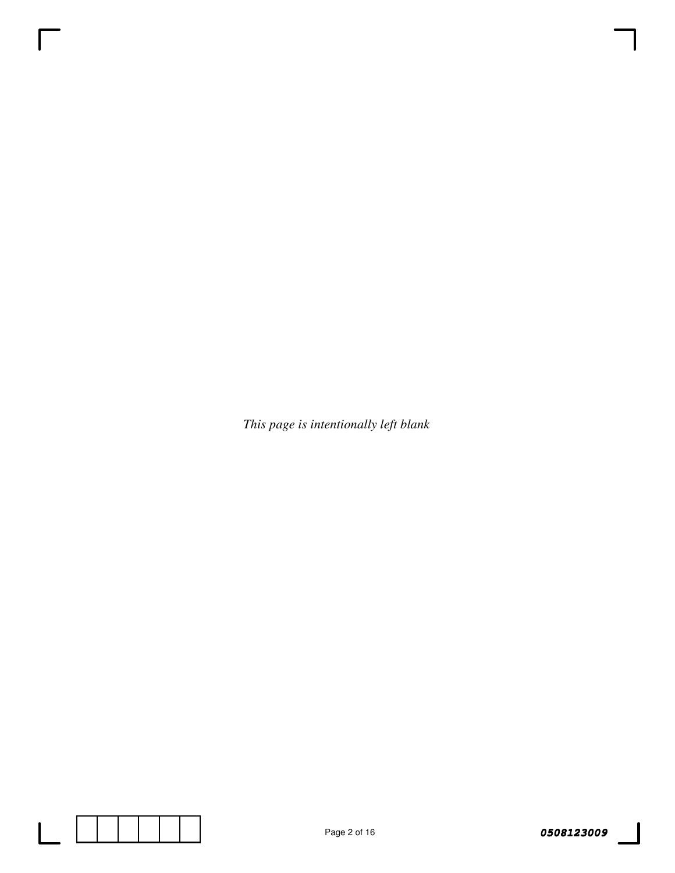*This page is intentionally left blank* 

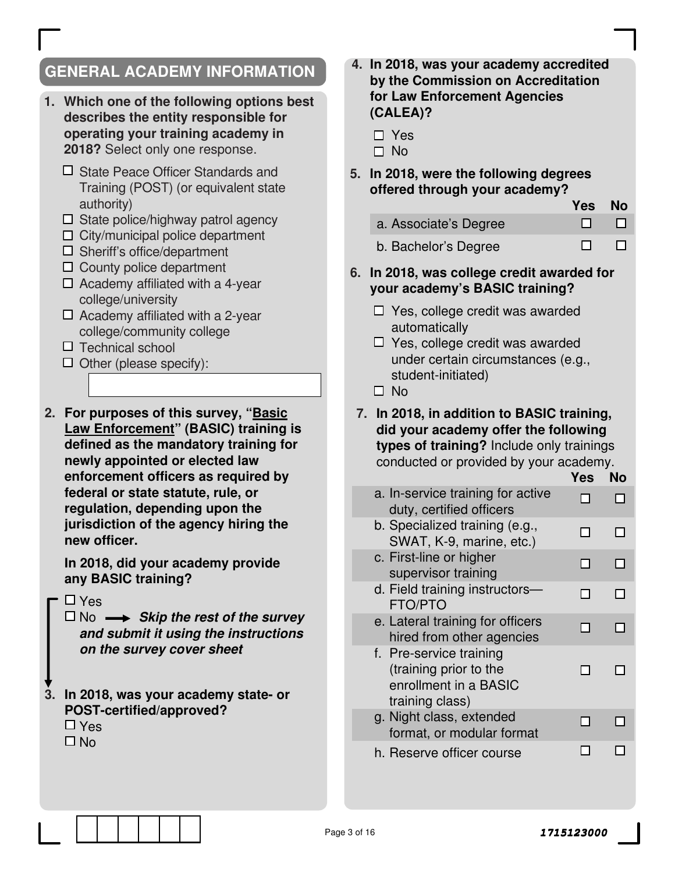## **GENERAL ACADEMY INFORMATION**

- **1. Which one of the following options best describes the entity responsible for operating your training academy in 2018?** Select only one response.
	- □ State Peace Officer Standards and Training (POST) (or equivalent state authority)
	- $\square$  State police/highway patrol agency
	- $\Box$  City/municipal police department
	- □ Sheriff's office/department
	- $\Box$  County police department
	- $\Box$  Academy affiliated with a 4-year college/university
	- $\Box$  Academy affiliated with a 2-year college/community college
	- $\Box$  Technical school
	- $\Box$  Other (please specify):
- **2. For purposes of this survey, "Basic Law Enforcement" (BASIC) training is defined as the mandatory training for newly appointed or elected law enforcement officers as required by federal or state statute, rule, or regulation, depending upon the jurisdiction of the agency hiring the new officer.**

**In 2018, did your academy provide any BASIC training?**

- $\Box$  Yes
- $\square$  No  $\longrightarrow$  Skip the rest of the survey **and submit it using the instructions on the survey cover sheet**
- **3. In 2018, was your academy state- or POST-certified/approved?**
	- $\Box$  Yes
	- $\Box$  No
- **4. In 2018, was your academy accredited by the Commission on Accreditation for Law Enforcement Agencies (CALEA)?**
	- □ Yes
	- $\Box$  No
- **5. In 2018, were the following degrees offered through your academy?**

|                       | Yes No |      |
|-----------------------|--------|------|
| a. Associate's Degree |        |      |
| b. Bachelor's Degree  | 4 L Z  | - 11 |

- **6. In 2018, was college credit awarded for your academy's BASIC training?**
	- □ Yes, college credit was awarded automatically
	- $\Box$  Yes, college credit was awarded under certain circumstances (e.g., student-initiated)
	- $\square$  No
- **7. In 2018, in addition to BASIC training, did your academy offer the following types of training?** Include only trainings conducted or provided by your academy.

|                                                                                               | 'es | Nο |
|-----------------------------------------------------------------------------------------------|-----|----|
| a. In-service training for active<br>duty, certified officers                                 |     |    |
| b. Specialized training (e.g.,<br>SWAT, K-9, marine, etc.)                                    |     |    |
| c. First-line or higher<br>supervisor training                                                | H   |    |
| d. Field training instructors-<br><b>FTO/PTO</b>                                              |     |    |
| e. Lateral training for officers<br>hired from other agencies                                 | ΙI  |    |
| f. Pre-service training<br>(training prior to the<br>enrollment in a BASIC<br>training class) |     |    |
| g. Night class, extended<br>format, or modular format                                         |     |    |
| h. Reserve officer course                                                                     |     |    |
|                                                                                               |     |    |

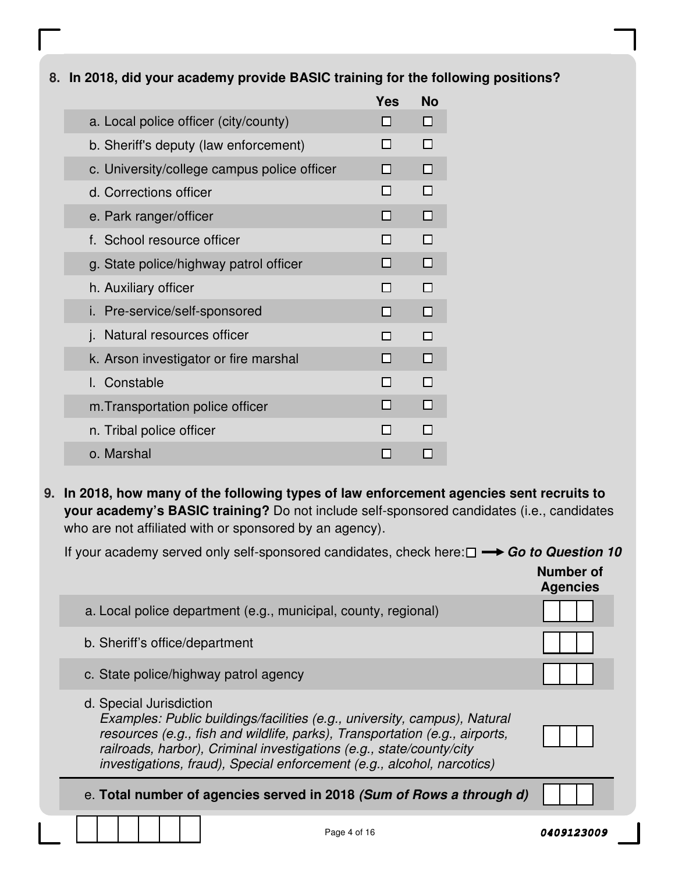**8. In 2018, did your academy provide BASIC training for the following positions?**

|                                             | Yes | No |
|---------------------------------------------|-----|----|
| a. Local police officer (city/county)       | l 1 |    |
| b. Sheriff's deputy (law enforcement)       |     |    |
| c. University/college campus police officer |     |    |
| d. Corrections officer                      |     |    |
| e. Park ranger/officer                      | П   | П  |
| f. School resource officer                  |     |    |
| g. State police/highway patrol officer      | ш   | П  |
| h. Auxiliary officer                        |     |    |
| i. Pre-service/self-sponsored               | H   |    |
| Natural resources officer                   |     |    |
| k. Arson investigator or fire marshal       | П   | П  |
| I. Constable                                |     |    |
| m. Transportation police officer            | l 1 | П  |
| n. Tribal police officer                    |     |    |
| o. Marshal                                  |     |    |

**9. In 2018, how many of the following types of law enforcement agencies sent recruits to your academy's BASIC training?** Do not include self-sponsored candidates (i.e., candidates who are not affiliated with or sponsored by an agency).

If your academy served only self-sponsored candidates, check here:  $\Box \rightarrow$  Go to Question 10

|                                                                                                                                                                                                                                                                                                                                       | <b>Number of</b><br><b>Agencies</b> |
|---------------------------------------------------------------------------------------------------------------------------------------------------------------------------------------------------------------------------------------------------------------------------------------------------------------------------------------|-------------------------------------|
| a. Local police department (e.g., municipal, county, regional)                                                                                                                                                                                                                                                                        |                                     |
| b. Sheriff's office/department                                                                                                                                                                                                                                                                                                        |                                     |
| c. State police/highway patrol agency                                                                                                                                                                                                                                                                                                 |                                     |
| d. Special Jurisdiction<br>Examples: Public buildings/facilities (e.g., university, campus), Natural<br>resources (e.g., fish and wildlife, parks), Transportation (e.g., airports,<br>railroads, harbor), Criminal investigations (e.g., state/county/city<br>investigations, fraud), Special enforcement (e.g., alcohol, narcotics) |                                     |
| e. Total number of agencies served in 2018 (Sum of Rows a through d)                                                                                                                                                                                                                                                                  |                                     |
| Page 4 of 16                                                                                                                                                                                                                                                                                                                          | <i><b>0409123009</b></i>            |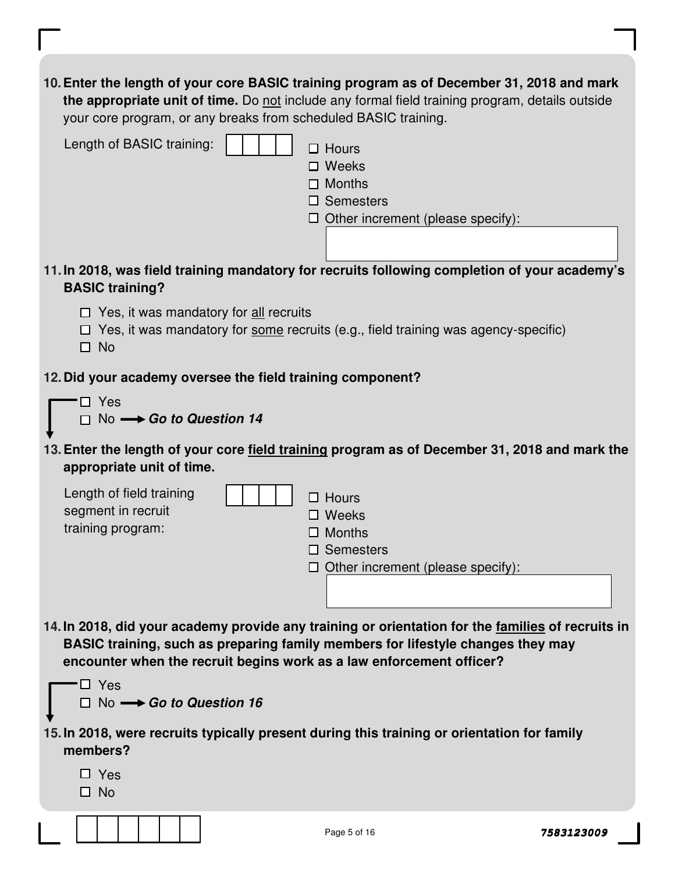| 10. Enter the length of your core BASIC training program as of December 31, 2018 and mark<br>the appropriate unit of time. Do not include any formal field training program, details outside<br>your core program, or any breaks from scheduled BASIC training. |                                                                                                                     |            |
|-----------------------------------------------------------------------------------------------------------------------------------------------------------------------------------------------------------------------------------------------------------------|---------------------------------------------------------------------------------------------------------------------|------------|
| Length of BASIC training:                                                                                                                                                                                                                                       | $\Box$ Hours<br>$\square$ Weeks<br>$\Box$ Months<br>$\square$ Semesters<br>$\Box$ Other increment (please specify): |            |
| 11. In 2018, was field training mandatory for recruits following completion of your academy's<br><b>BASIC training?</b>                                                                                                                                         |                                                                                                                     |            |
| $\Box$ Yes, it was mandatory for <u>all</u> recruits<br>$\Box$ No                                                                                                                                                                                               | $\Box$ Yes, it was mandatory for some recruits (e.g., field training was agency-specific)                           |            |
| 12. Did your academy oversee the field training component?                                                                                                                                                                                                      |                                                                                                                     |            |
| $\Box$ Yes<br>$\Box$ No $\longrightarrow$ Go to Question 14                                                                                                                                                                                                     |                                                                                                                     |            |
| 13. Enter the length of your core field training program as of December 31, 2018 and mark the<br>appropriate unit of time.                                                                                                                                      |                                                                                                                     |            |
| Length of field training<br>segment in recruit<br>training program:                                                                                                                                                                                             | $\Box$ Hours<br>$\Box$ Weeks<br>$\Box$ Months<br>$\Box$ Semesters<br>$\Box$ Other increment (please specify):       |            |
| 14. In 2018, did your academy provide any training or orientation for the families of recruits in<br>BASIC training, such as preparing family members for lifestyle changes they may<br>encounter when the recruit begins work as a law enforcement officer?    |                                                                                                                     |            |
| $\Box$ Yes<br>$\square$ No $\longrightarrow$ Go to Question 16                                                                                                                                                                                                  |                                                                                                                     |            |
| 15. In 2018, were recruits typically present during this training or orientation for family                                                                                                                                                                     |                                                                                                                     |            |
| members?                                                                                                                                                                                                                                                        |                                                                                                                     |            |
| $\Box$ Yes<br>$\square$ No                                                                                                                                                                                                                                      |                                                                                                                     |            |
|                                                                                                                                                                                                                                                                 | Page 5 of 16                                                                                                        | 7583123009 |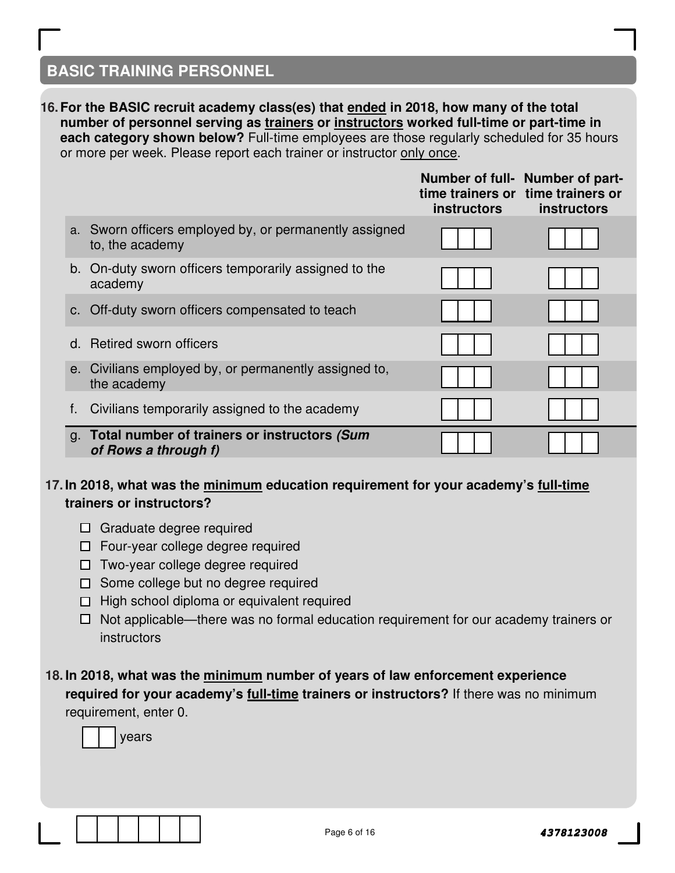**16. For the BASIC recruit academy class(es) that ended in 2018, how many of the total number of personnel serving as trainers or instructors worked full-time or part-time in each category shown below?** Full-time employees are those regularly scheduled for 35 hours or more per week. Please report each trainer or instructor only once.

|                                                                           | <b>instructors</b> | Number of full- Number of part-<br>time trainers or time trainers or<br><b>instructors</b> |
|---------------------------------------------------------------------------|--------------------|--------------------------------------------------------------------------------------------|
| a. Sworn officers employed by, or permanently assigned<br>to, the academy |                    |                                                                                            |
| b. On-duty sworn officers temporarily assigned to the<br>academy          |                    |                                                                                            |
| c. Off-duty sworn officers compensated to teach                           |                    |                                                                                            |
| d. Retired sworn officers                                                 |                    |                                                                                            |
| e. Civilians employed by, or permanently assigned to,<br>the academy      |                    |                                                                                            |
| Civilians temporarily assigned to the academy                             |                    |                                                                                            |
| g. Total number of trainers or instructors (Sum<br>of Rows a through f)   |                    |                                                                                            |

- **17. In 2018, what was the minimum education requirement for your academy's full-time trainers or instructors?**
	- $\Box$  Graduate degree required
	- □ Four-year college degree required
	- $\Box$  Two-year college degree required
	- $\Box$  Some college but no degree required
	- $\Box$  High school diploma or equivalent required
	- $\Box$  Not applicable—there was no formal education requirement for our academy trainers or **instructors**
- **18. In 2018, what was the minimum number of years of law enforcement experience required for your academy's full-time trainers or instructors?** If there was no minimum requirement, enter 0.



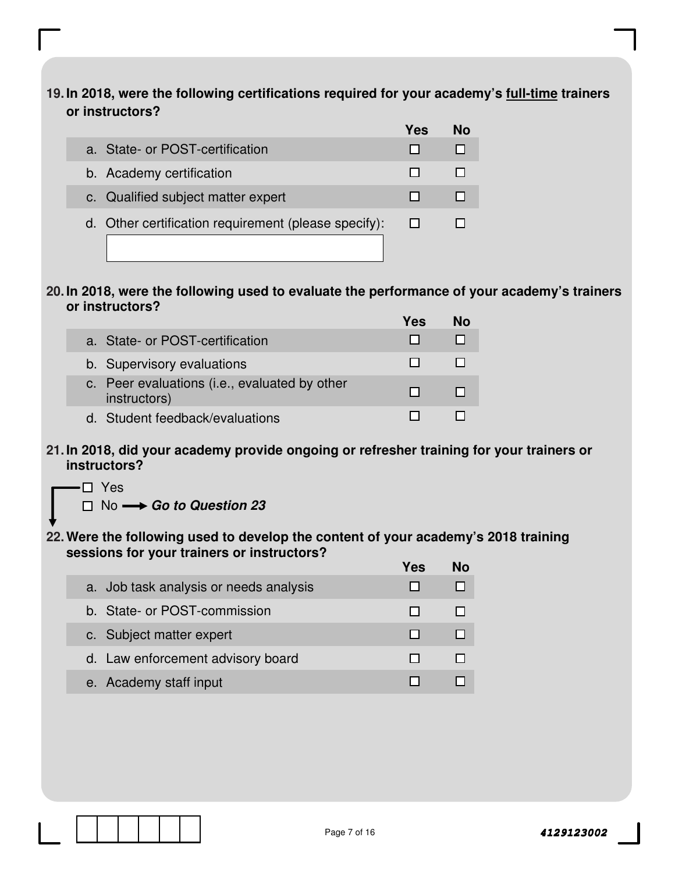### **19. In 2018, were the following certifications required for your academy's full-time trainers or instructors?**

|                                                      | Yes | N٥ |
|------------------------------------------------------|-----|----|
| a. State- or POST-certification                      |     |    |
| b. Academy certification                             |     |    |
| c. Qualified subject matter expert                   |     |    |
| d. Other certification requirement (please specify): |     |    |
|                                                      |     |    |

#### **20. In 2018, were the following used to evaluate the performance of your academy's trainers or instructors?**

|                                                               | Yes | Nο |
|---------------------------------------------------------------|-----|----|
| a. State- or POST-certification                               |     |    |
| b. Supervisory evaluations                                    |     |    |
| c. Peer evaluations (i.e., evaluated by other<br>instructors) |     |    |
| d. Student feedback/evaluations                               |     |    |

- **21. In 2018, did your academy provide ongoing or refresher training for your trainers or instructors?**
	- $\cdot \Box$  Yes □ No **→ Go to Question 23**
- **22. Were the following used to develop the content of your academy's 2018 training sessions for your trainers or instructors? Yes No**

|                                        | 1 E.S | IVO |
|----------------------------------------|-------|-----|
| a. Job task analysis or needs analysis |       |     |
| b. State- or POST-commission           |       |     |
| c. Subject matter expert               |       |     |
| d. Law enforcement advisory board      |       |     |
| e. Academy staff input                 |       |     |

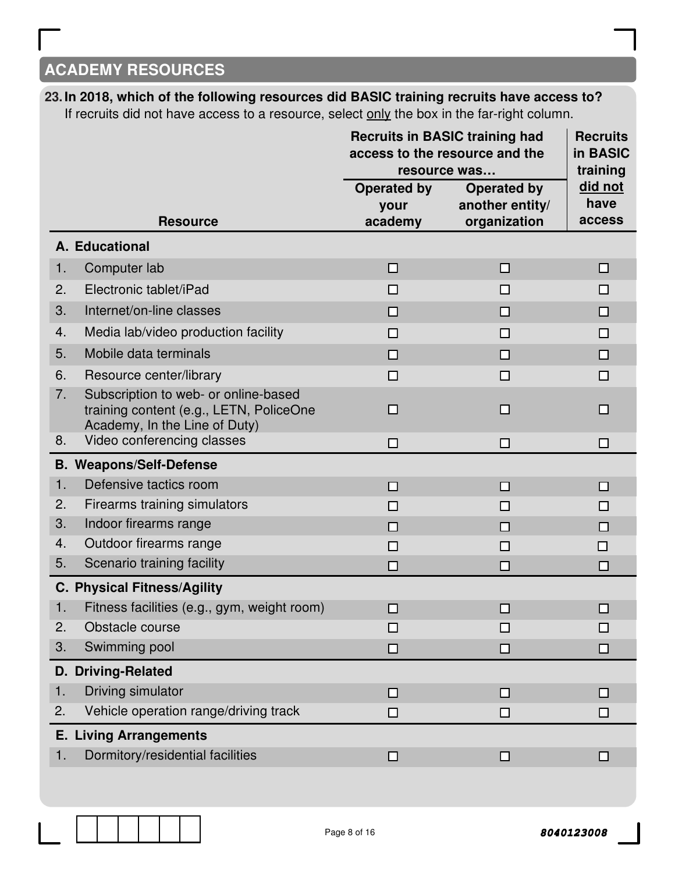**ACADEMY RESOURCES**

### **23. In 2018, which of the following resources did BASIC training recruits have access to?** If recruits did not have access to a resource, select only the box in the far-right column.

|    |                                                                                                                  |                                | <b>Recruits in BASIC training had</b><br>access to the resource and the<br>resource was | <b>Recruits</b><br>in BASIC<br>training |
|----|------------------------------------------------------------------------------------------------------------------|--------------------------------|-----------------------------------------------------------------------------------------|-----------------------------------------|
|    | <b>Resource</b>                                                                                                  | Operated by<br>your<br>academy | <b>Operated by</b><br>another entity/<br>organization                                   | did not<br>have<br>access               |
|    | A. Educational                                                                                                   |                                |                                                                                         |                                         |
| 1. | Computer lab                                                                                                     | ◻                              | ◻                                                                                       | ◻                                       |
| 2. | Electronic tablet/iPad                                                                                           | ◻                              | П                                                                                       | □                                       |
| 3. | Internet/on-line classes                                                                                         | □                              | □                                                                                       | □                                       |
| 4. | Media lab/video production facility                                                                              | □                              | П                                                                                       | □                                       |
| 5. | Mobile data terminals                                                                                            | ◻                              | П                                                                                       | ◻                                       |
| 6. | Resource center/library                                                                                          | □                              | □                                                                                       | ◻                                       |
| 7. | Subscription to web- or online-based<br>training content (e.g., LETN, PoliceOne<br>Academy, In the Line of Duty) | ◻                              | П                                                                                       | □                                       |
| 8. | Video conferencing classes                                                                                       | □                              | □                                                                                       | □                                       |
|    | <b>B. Weapons/Self-Defense</b>                                                                                   |                                |                                                                                         |                                         |
| 1. | Defensive tactics room                                                                                           | ◻                              | □                                                                                       | ◻                                       |
| 2. | Firearms training simulators                                                                                     | □                              | □                                                                                       | □                                       |
| 3. | Indoor firearms range                                                                                            | ◻                              | П                                                                                       | ◻                                       |
| 4. | Outdoor firearms range                                                                                           | □                              | □                                                                                       | □                                       |
| 5. | Scenario training facility                                                                                       | ◻                              | □                                                                                       | □                                       |
|    | <b>C. Physical Fitness/Agility</b>                                                                               |                                |                                                                                         |                                         |
| 1. | Fitness facilities (e.g., gym, weight room)                                                                      | □                              |                                                                                         | LΙ                                      |
| 2. | Obstacle course                                                                                                  | □                              |                                                                                         | □                                       |
| 3. | Swimming pool                                                                                                    | ◻                              | □                                                                                       | □                                       |
|    | D. Driving-Related                                                                                               |                                |                                                                                         |                                         |
| 1. | Driving simulator                                                                                                | ◻                              | ◻                                                                                       | □                                       |
| 2. | Vehicle operation range/driving track                                                                            | □                              | □                                                                                       | □                                       |
|    | <b>E. Living Arrangements</b>                                                                                    |                                |                                                                                         |                                         |
| 1. | Dormitory/residential facilities                                                                                 | ◻                              | ◻                                                                                       | □                                       |

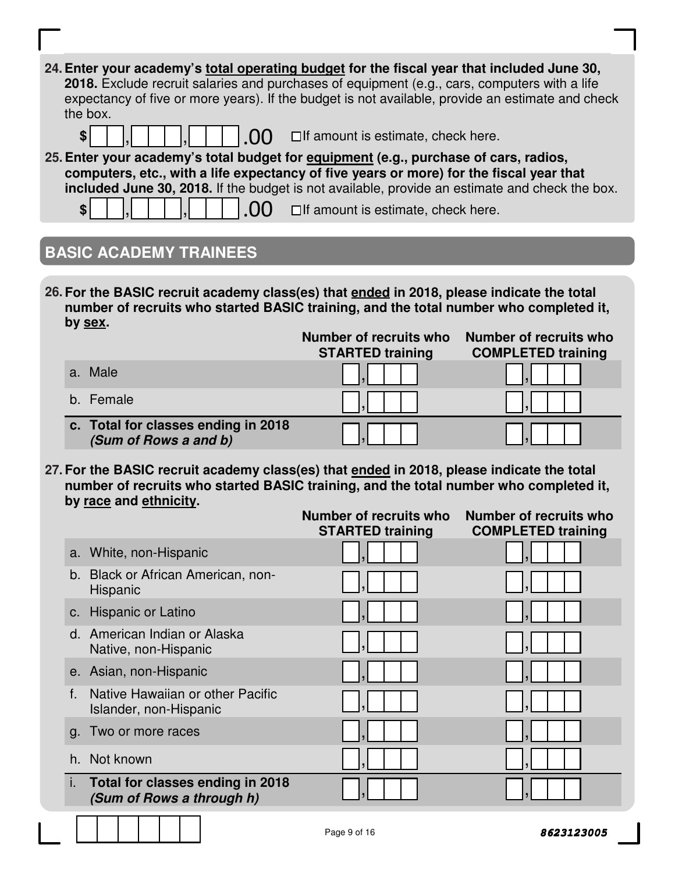|          | 24. Enter your academy's total operating budget for the fiscal year that included June 30,       |
|----------|--------------------------------------------------------------------------------------------------|
|          | 2018. Exclude recruit salaries and purchases of equipment (e.g., cars, computers with a life     |
|          | expectancy of five or more years). If the budget is not available, provide an estimate and check |
| the box. |                                                                                                  |
|          | $ \$$   $ $ ,               00 $\Box$ If amount is estimate, check here.                         |

**25. Enter your academy's total budget for equipment (e.g., purchase of cars, radios, computers, etc., with a life expectancy of five years or more) for the fiscal year that included June 30, 2018.** If the budget is not available, provide an estimate and check the box.

**\$** If amount is estimate, check here. , , .00

### **BASIC ACADEMY TRAINEES**

**26. For the BASIC recruit academy class(es) that ended in 2018, please indicate the total number of recruits who started BASIC training, and the total number who completed it, by sex.**

|                                                              | Number of recruits who<br><b>STARTED training</b> | <b>Number of recruits who</b><br><b>COMPLETED training</b> |
|--------------------------------------------------------------|---------------------------------------------------|------------------------------------------------------------|
| a. Male                                                      |                                                   |                                                            |
| b. Female                                                    |                                                   |                                                            |
| c. Total for classes ending in 2018<br>(Sum of Rows a and b) |                                                   |                                                            |

**27. For the BASIC recruit academy class(es) that ended in 2018, please indicate the total number of recruits who started BASIC training, and the total number who completed it, by race and ethnicity.**

|                                                                     | <b>Number of recruits who</b><br><b>STARTED training</b> | <b>Number of recruits who</b><br><b>COMPLETED training</b> |
|---------------------------------------------------------------------|----------------------------------------------------------|------------------------------------------------------------|
| a. White, non-Hispanic                                              |                                                          |                                                            |
| b. Black or African American, non-<br>Hispanic                      |                                                          |                                                            |
| c. Hispanic or Latino                                               |                                                          |                                                            |
| d. American Indian or Alaska<br>Native, non-Hispanic                |                                                          |                                                            |
| e. Asian, non-Hispanic                                              |                                                          |                                                            |
| Native Hawaiian or other Pacific<br>Islander, non-Hispanic          |                                                          |                                                            |
| g. Two or more races                                                |                                                          |                                                            |
| Not known<br>h.                                                     |                                                          |                                                            |
| Total for classes ending in 2018<br>i.<br>(Sum of Rows a through h) |                                                          |                                                            |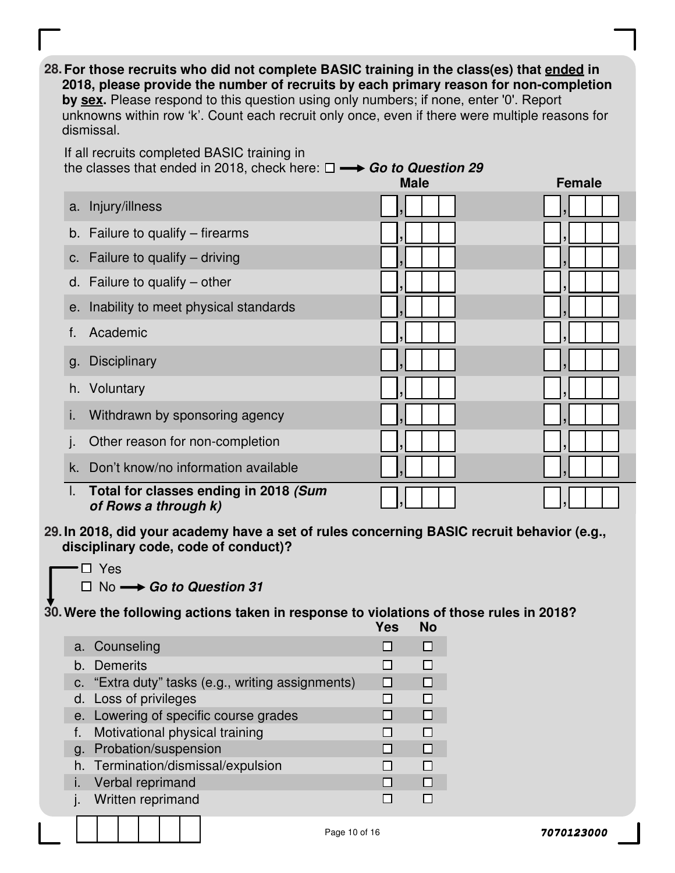**28.For those recruits who did not complete BASIC training in the class(es) that ended in 2018, please provide the number of recruits by each primary reason for non-completion by sex.** Please respond to this question using only numbers; if none, enter '0'. Report unknowns within row 'k'. Count each recruit only once, even if there were multiple reasons for dismissal.

If all recruits completed BASIC training in the classes that ended in 2018, check here:  $\Box \rightarrow$  Go to Question 29

|    |                                                               | <b>Male</b> | <b>Female</b> |
|----|---------------------------------------------------------------|-------------|---------------|
| a. | Injury/illness                                                |             |               |
|    | b. Failure to qualify – firearms                              |             |               |
|    | c. Failure to qualify - driving                               |             |               |
|    | d. Failure to qualify $-$ other                               |             |               |
|    | e. Inability to meet physical standards                       |             |               |
| f. | Academic                                                      |             |               |
| g. | <b>Disciplinary</b>                                           |             |               |
|    | h. Voluntary                                                  |             |               |
| i. | Withdrawn by sponsoring agency                                |             |               |
| Ŀ  | Other reason for non-completion                               |             |               |
| k. | Don't know/no information available                           |             |               |
| I. | Total for classes ending in 2018 (Sum<br>of Rows a through k) |             |               |

- **29. In 2018, did your academy have a set of rules concerning BASIC recruit behavior (e.g., disciplinary code, code of conduct)?**
	- $\neg$ D Yes
		- No **Go to Question 31**

# **30.Were the following actions taken in response to violations of those rules in 2018?**

|                                                   | Yes | Nο |
|---------------------------------------------------|-----|----|
| a. Counseling                                     |     |    |
| b. Demerits                                       |     |    |
| c. "Extra duty" tasks (e.g., writing assignments) |     |    |
| d. Loss of privileges                             |     |    |
| e. Lowering of specific course grades             |     |    |
| Motivational physical training                    |     |    |
| Probation/suspension<br>q.                        |     |    |
| h. Termination/dismissal/expulsion                |     |    |
| Verbal reprimand                                  |     |    |
| Written reprimand                                 |     |    |

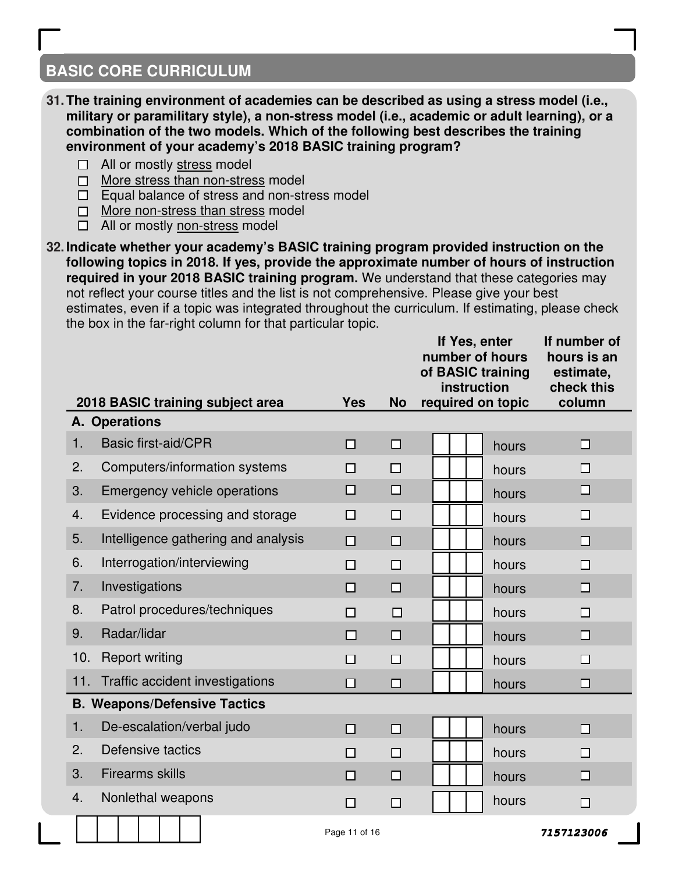### **BASIC CORE CURRICULUM**

- **31. The training environment of academies can be described as using a stress model (i.e., military or paramilitary style), a non-stress model (i.e., academic or adult learning), or a combination of the two models. Which of the following best describes the training environment of your academy's 2018 BASIC training program?**
	- $\Box$  All or mostly stress model
	- □ More stress than non-stress model
	- $\Box$  Equal balance of stress and non-stress model
	- $\Box$  More non-stress than stress model
	- □ All or mostly non-stress model

**32. Indicate whether your academy's BASIC training program provided instruction on the following topics in 2018. If yes, provide the approximate number of hours of instruction required in your 2018 BASIC training program.** We understand that these categories may not reflect your course titles and the list is not comprehensive. Please give your best estimates, even if a topic was integrated throughout the curriculum. If estimating, please check the box in the far-right column for that particular topic.

| If number of<br>If Yes, enter<br>number of hours<br>hours is an<br>of BASIC training<br>instruction<br>check this<br>required on topic<br>2018 BASIC training subject area<br><b>Yes</b><br><b>No</b> |                                     |        |        |  |       |        |
|-------------------------------------------------------------------------------------------------------------------------------------------------------------------------------------------------------|-------------------------------------|--------|--------|--|-------|--------|
|                                                                                                                                                                                                       | A. Operations                       |        |        |  |       |        |
| 1.                                                                                                                                                                                                    | <b>Basic first-aid/CPR</b>          | $\Box$ | $\Box$ |  | hours | □      |
| 2.                                                                                                                                                                                                    | Computers/information systems       | □      | $\Box$ |  | hours | □      |
| 3.                                                                                                                                                                                                    | Emergency vehicle operations        | □      | $\Box$ |  | hours | □      |
| 4.                                                                                                                                                                                                    | Evidence processing and storage     | $\Box$ | $\Box$ |  | hours | □      |
| 5.                                                                                                                                                                                                    | Intelligence gathering and analysis | $\Box$ | $\Box$ |  | hours | □      |
| 6.                                                                                                                                                                                                    | Interrogation/interviewing          | □      | $\Box$ |  | hours | □      |
| 7.                                                                                                                                                                                                    | Investigations                      | ◻      | $\Box$ |  | hours | ◻      |
| 8.                                                                                                                                                                                                    | Patrol procedures/techniques        | $\Box$ | $\Box$ |  | hours | $\Box$ |
| 9.                                                                                                                                                                                                    | Radar/lidar                         | □      | $\Box$ |  | hours | □      |
| 10.                                                                                                                                                                                                   | <b>Report writing</b>               | $\Box$ | $\Box$ |  | hours | □      |
| 11.                                                                                                                                                                                                   | Traffic accident investigations     | □      | $\Box$ |  | hours | □      |
|                                                                                                                                                                                                       | <b>B. Weapons/Defensive Tactics</b> |        |        |  |       |        |
| 1.                                                                                                                                                                                                    | De-escalation/verbal judo           | $\Box$ | $\Box$ |  | hours | $\Box$ |
| 2.                                                                                                                                                                                                    | Defensive tactics                   | $\Box$ | $\Box$ |  | hours | □      |
| 3.                                                                                                                                                                                                    | <b>Firearms skills</b>              | □      | $\Box$ |  | hours | ◻      |
| 4.                                                                                                                                                                                                    | Nonlethal weapons                   | □      | □      |  | hours | □      |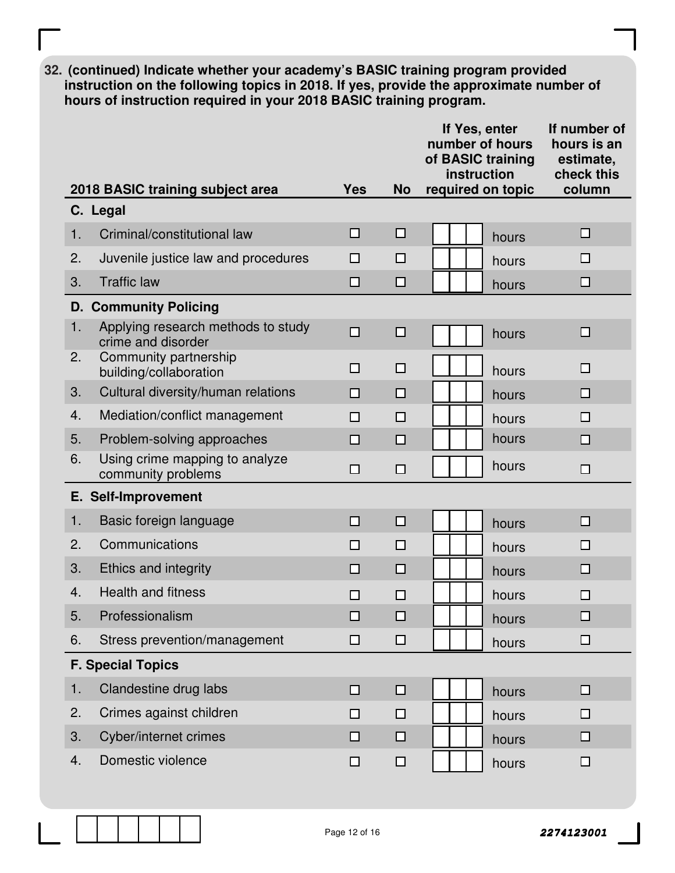**32. (continued) Indicate whether your academy's BASIC training program provided instruction on the following topics in 2018. If yes, provide the approximate number of hours of instruction required in your 2018 BASIC training program.**

| If number of<br>If Yes, enter<br>number of hours<br>hours is an<br>of BASIC training<br>estimate,<br>instruction<br>check this |                                                          |            |           |                   |       |        |
|--------------------------------------------------------------------------------------------------------------------------------|----------------------------------------------------------|------------|-----------|-------------------|-------|--------|
|                                                                                                                                | 2018 BASIC training subject area                         | <b>Yes</b> | <b>No</b> | required on topic |       | column |
|                                                                                                                                | C. Legal                                                 |            |           |                   |       |        |
| 1.                                                                                                                             | Criminal/constitutional law                              | ◻          | $\Box$    |                   | hours | □      |
| 2.                                                                                                                             | Juvenile justice law and procedures                      | □          | $\Box$    |                   | hours | □      |
| 3.                                                                                                                             | <b>Traffic law</b>                                       | ◻          | $\Box$    |                   | hours | □      |
|                                                                                                                                | <b>D. Community Policing</b>                             |            |           |                   |       |        |
| 1.                                                                                                                             | Applying research methods to study<br>crime and disorder | □          | □         |                   | hours | □      |
| 2.                                                                                                                             | Community partnership<br>building/collaboration          | □          | $\Box$    |                   | hours | □      |
| 3.                                                                                                                             | Cultural diversity/human relations                       | ◻          | $\Box$    |                   | hours | ◻      |
| 4.                                                                                                                             | Mediation/conflict management                            | □          | $\Box$    |                   | hours | □      |
| 5.                                                                                                                             | Problem-solving approaches                               | ◻          | □         |                   | hours | ◻      |
| 6.                                                                                                                             | Using crime mapping to analyze<br>community problems     | □          | $\Box$    |                   | hours | □      |
|                                                                                                                                | E. Self-Improvement                                      |            |           |                   |       |        |
| 1.                                                                                                                             | Basic foreign language                                   | ◻          | $\Box$    |                   | hours | ◻      |
| 2.                                                                                                                             | Communications                                           | □          | $\Box$    |                   | hours | □      |
| 3.                                                                                                                             | Ethics and integrity                                     | ◻          | $\Box$    |                   | hours | ◻      |
| 4.                                                                                                                             | <b>Health and fitness</b>                                | □          | □         |                   | hours | □      |
| 5.                                                                                                                             | Professionalism                                          | □          | $\Box$    |                   | hours | $\Box$ |
| 6.                                                                                                                             | Stress prevention/management                             | □          | $\Box$    |                   | hours | □      |
|                                                                                                                                | <b>F. Special Topics</b>                                 |            |           |                   |       |        |
| 1.                                                                                                                             | Clandestine drug labs                                    | ◻          | ◻         |                   | hours | ◻      |
| 2.                                                                                                                             | Crimes against children                                  | □          | $\Box$    |                   | hours | □      |
| 3.                                                                                                                             | Cyber/internet crimes                                    | ◻          | □         |                   | hours | ◻      |
| 4.                                                                                                                             | Domestic violence                                        | □          | $\Box$    |                   | hours | □      |

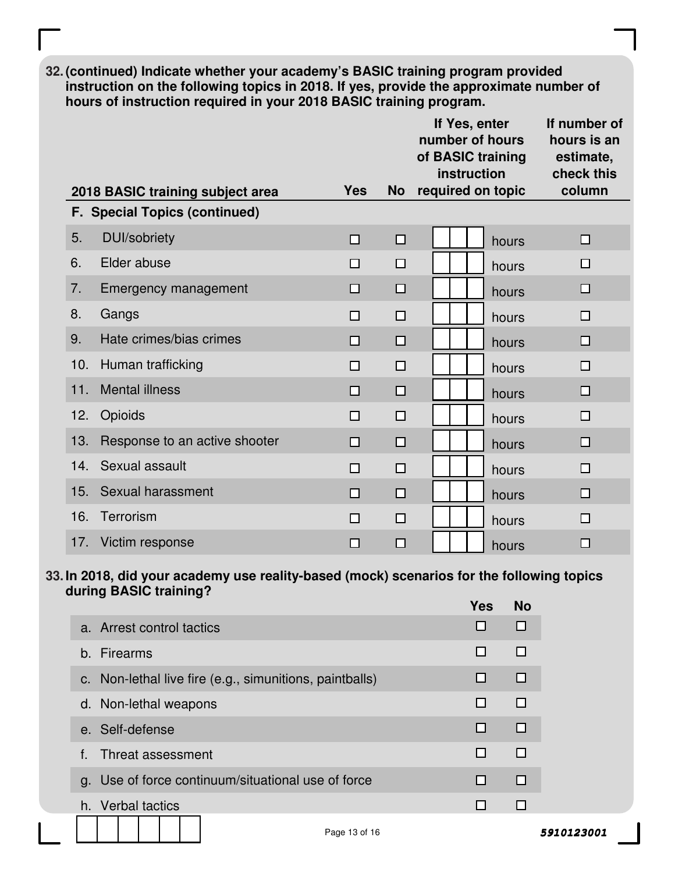**32. (continued) Indicate whether your academy's BASIC training program provided instruction on the following topics in 2018. If yes, provide the approximate number of hours of instruction required in your 2018 BASIC training program.**

|     |                                                                          | <b>Yes</b> |           | If Yes, enter<br>number of hours<br>of BASIC training<br>instruction | If number of<br>hours is an<br>estimate,<br>check this |
|-----|--------------------------------------------------------------------------|------------|-----------|----------------------------------------------------------------------|--------------------------------------------------------|
|     | 2018 BASIC training subject area<br><b>F. Special Topics (continued)</b> |            | <b>No</b> | required on topic                                                    | column                                                 |
| 5.  | <b>DUI/sobriety</b>                                                      | $\Box$     | □         | hours                                                                | $\Box$                                                 |
| 6.  | Elder abuse                                                              | ◻          | $\Box$    | hours                                                                | □                                                      |
| 7.  | Emergency management                                                     | ◻          | □         | hours                                                                | ◻                                                      |
| 8.  | Gangs                                                                    | $\Box$     | □         | hours                                                                | $\Box$                                                 |
| 9.  | Hate crimes/bias crimes                                                  | □          | $\Box$    | hours                                                                | ◻                                                      |
| 10. | Human trafficking                                                        | □          | $\Box$    | hours                                                                | □                                                      |
| 11. | <b>Mental illness</b>                                                    | □          | $\Box$    | hours                                                                | □                                                      |
| 12. | Opioids                                                                  | □          | $\Box$    | hours                                                                | $\Box$                                                 |
| 13. | Response to an active shooter                                            | ◻          | $\Box$    | hours                                                                | □                                                      |
| 14. | Sexual assault                                                           | $\Box$     | $\Box$    | hours                                                                | $\Box$                                                 |
| 15. | Sexual harassment                                                        | ◻          | $\Box$    | hours                                                                | □                                                      |
| 16. | Terrorism                                                                | $\Box$     | $\Box$    | hours                                                                | □                                                      |
|     | 17. Victim response                                                      | П          | ◻         | hours                                                                | □                                                      |

#### **33. In 2018, did your academy use reality-based (mock) scenarios for the following topics during BASIC training?**

|                                                         | <b>Yes</b> | <b>No</b> |
|---------------------------------------------------------|------------|-----------|
| a. Arrest control tactics                               |            |           |
| b. Firearms                                             |            |           |
| c. Non-lethal live fire (e.g., simunitions, paintballs) |            |           |
| d. Non-lethal weapons                                   |            |           |
| e. Self-defense                                         |            |           |
| f. Threat assessment                                    |            |           |
| g. Use of force continuum/situational use of force      |            |           |
| h. Verbal tactics                                       |            |           |
|                                                         |            |           |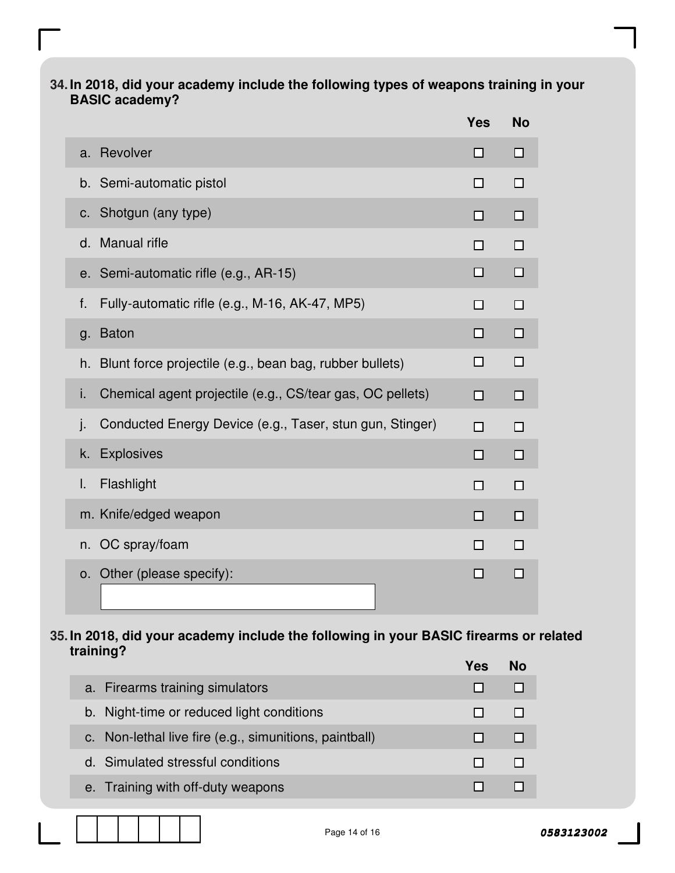#### **34. In 2018, did your academy include the following types of weapons training in your BASIC academy?**

|                                                                 | <b>Yes</b> | <b>No</b> |
|-----------------------------------------------------------------|------------|-----------|
| Revolver<br>a <sub>1</sub>                                      | П          | П         |
| b. Semi-automatic pistol                                        | П          |           |
| Shotgun (any type)<br>$C_{1}$                                   | П          | LΙ        |
| Manual rifle<br>d.                                              | П          |           |
| e. Semi-automatic rifle (e.g., AR-15)                           | П          | ◻         |
| f.<br>Fully-automatic rifle (e.g., M-16, AK-47, MP5)            | П          |           |
| <b>Baton</b><br>g.                                              | ш          | LΙ        |
| Blunt force projectile (e.g., bean bag, rubber bullets)<br>h.   | П          | П         |
| i.<br>Chemical agent projectile (e.g., CS/tear gas, OC pellets) | П          | П         |
| Conducted Energy Device (e.g., Taser, stun gun, Stinger)<br>j.  | п          |           |
| <b>Explosives</b><br>k.                                         | П          | ◻         |
| Flashlight<br>I.                                                | П          |           |
| m. Knife/edged weapon                                           | П          |           |
| OC spray/foam<br>$n_{\rm}$                                      | П          |           |
| Other (please specify):<br>0.                                   |            |           |

#### **35. In 2018, did your academy include the following in your BASIC firearms or related training?**

|                                                        | Yes | Nο |
|--------------------------------------------------------|-----|----|
| a. Firearms training simulators                        |     |    |
| b. Night-time or reduced light conditions              |     |    |
| c. Non-lethal live fire (e.g., simunitions, paintball) |     |    |
| d. Simulated stressful conditions                      |     |    |
| e. Training with off-duty weapons                      |     |    |

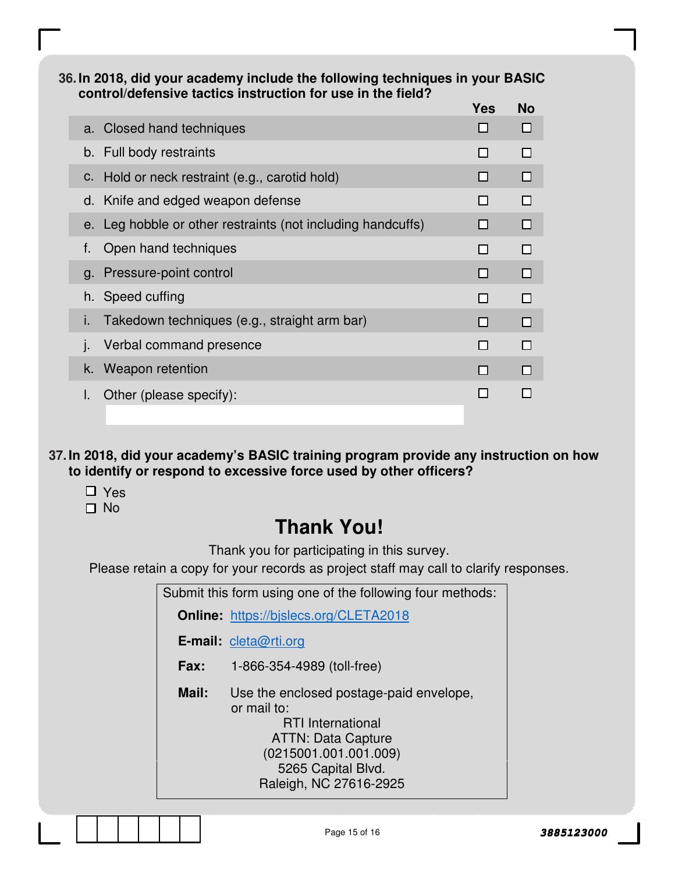**36. In 2018, did your academy include the following techniques in your BASIC control/defensive tactics instruction for use in the field?**

| <b>Yes</b> | <b>No</b> |
|------------|-----------|
|            |           |
|            |           |
|            | П         |
|            |           |
|            | П         |
|            | п         |
| ш          | П         |
|            |           |
| ш          | LΙ        |
|            |           |
|            | П         |
|            |           |
|            |           |

**37. In 2018, did your academy's BASIC training program provide any instruction on how to identify or respond to excessive force used by other officers?**

- □ Yes
- □ No

# **Thank You!**

Thank you for participating in this survey.

Please retain a copy for your records as project staff may call to clarify responses.

|             | Submit this form using one of the following four methods:                                                                                                                                |  |  |  |
|-------------|------------------------------------------------------------------------------------------------------------------------------------------------------------------------------------------|--|--|--|
|             | <b>Online:</b> https://bislecs.org/CLETA2018                                                                                                                                             |  |  |  |
|             | <b>E-mail:</b> cleta@rti.org                                                                                                                                                             |  |  |  |
| <b>Fax:</b> | 1-866-354-4989 (toll-free)                                                                                                                                                               |  |  |  |
| Mail:       | Use the enclosed postage-paid envelope,<br>or mail to:<br><b>RTI</b> International<br><b>ATTN: Data Capture</b><br>(0215001.001.001.009)<br>5265 Capital Blvd.<br>Raleigh, NC 27616-2925 |  |  |  |